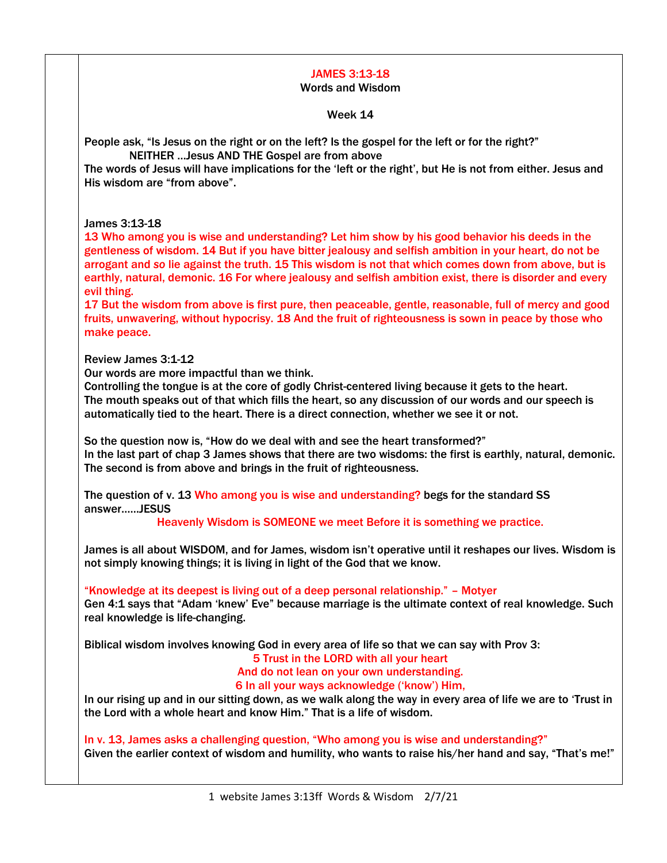# JAMES 3:13-18

### Words and Wisdom

Week 14

People ask, "Is Jesus on the right or on the left? Is the gospel for the left or for the right?" NEITHER …Jesus AND THE Gospel are from above

The words of Jesus will have implications for the 'left or the right', but He is not from either. Jesus and His wisdom are "from above".

## James 3:13-18

13 Who among you is wise and understanding? Let him show by his good behavior his deeds in the gentleness of wisdom. 14 But if you have bitter jealousy and selfish ambition in your heart, do not be arrogant and *so* lie against the truth. 15 This wisdom is not that which comes down from above, but is earthly, natural, demonic. 16 For where jealousy and selfish ambition exist, there is disorder and every evil thing.

17 But the wisdom from above is first pure, then peaceable, gentle, reasonable, full of mercy and good fruits, unwavering, without hypocrisy. 18 And the fruit of righteousness is sown in peace by those who make peace.

Review James 3:1-12

Our words are more impactful than we think.

Controlling the tongue is at the core of godly Christ-centered living because it gets to the heart. The mouth speaks out of that which fills the heart, so any discussion of our words and our speech is automatically tied to the heart. There is a direct connection, whether we see it or not.

So the question now is, "How do we deal with and see the heart transformed?" In the last part of chap 3 James shows that there are two wisdoms: the first is earthly, natural, demonic. The second is from above and brings in the fruit of righteousness.

The question of v. 13 Who among you is wise and understanding? begs for the standard SS answer……JESUS

Heavenly Wisdom is SOMEONE we meet Before it is something we practice.

James is all about WISDOM, and for James, wisdom isn't operative until it reshapes our lives. Wisdom is not simply knowing things; it is living in light of the God that we know.

"Knowledge at its deepest is living out of a deep personal relationship." – Motyer Gen 4:1 says that "Adam 'knew' Eve" because marriage is the ultimate context of real knowledge. Such real knowledge is life-changing.

Biblical wisdom involves knowing God in every area of life so that we can say with Prov 3:

5 Trust in the LORD with all your heart

And do not lean on your own understanding.

6 In all your ways acknowledge ('know') Him,

In our rising up and in our sitting down, as we walk along the way in every area of life we are to 'Trust in the Lord with a whole heart and know Him." That is a life of wisdom.

In v. 13, James asks a challenging question, "Who among you is wise and understanding?" Given the earlier context of wisdom and humility, who wants to raise his/her hand and say, "That's me!"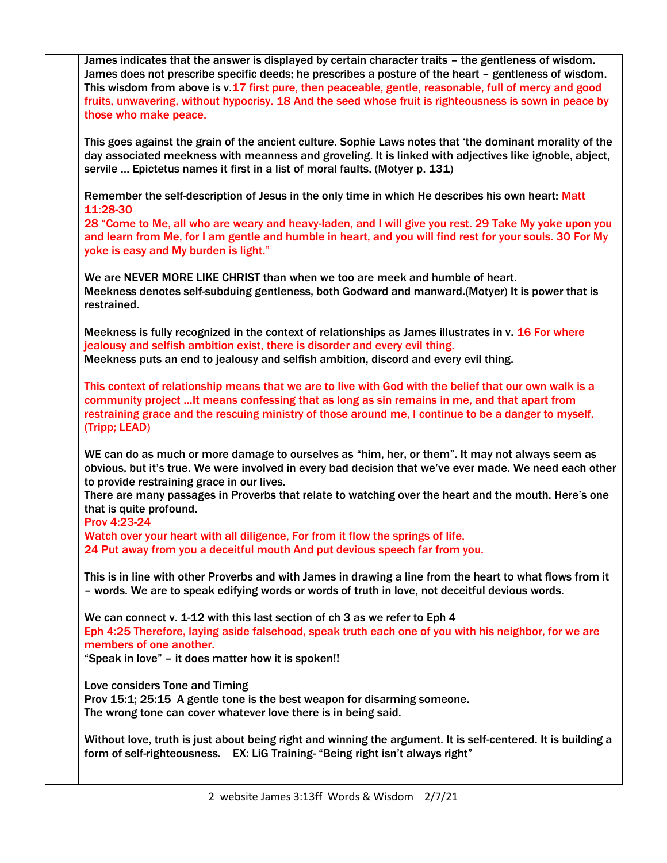James indicates that the answer is displayed by certain character traits – the gentleness of wisdom. James does not prescribe specific deeds; he prescribes a posture of the heart – gentleness of wisdom. This wisdom from above is v.17 first pure, then peaceable, gentle, reasonable, full of mercy and good fruits, unwavering, without hypocrisy. 18 And the seed whose fruit is righteousness is sown in peace by those who make peace. This goes against the grain of the ancient culture. Sophie Laws notes that 'the dominant morality of the day associated meekness with meanness and groveling. It is linked with adjectives like ignoble, abject, servile … Epictetus names it first in a list of moral faults. (Motyer p. 131) Remember the self-description of Jesus in the only time in which He describes his own heart: Matt 11:28-30 28 "Come to Me, all who are weary and heavy-laden, and I will give you rest. 29 Take My yoke upon you and learn from Me, for I am gentle and humble in heart, and you will find rest for your souls. 30 For My yoke is easy and My burden is light." We are NEVER MORE LIKE CHRIST than when we too are meek and humble of heart. Meekness denotes self-subduing gentleness, both Godward and manward.(Motyer) It is power that is restrained. Meekness is fully recognized in the context of relationships as James illustrates in v. 16 For where jealousy and selfish ambition exist, there is disorder and every evil thing. Meekness puts an end to jealousy and selfish ambition, discord and every evil thing. This context of relationship means that we are to live with God with the belief that our own walk is a community project …It means confessing that as long as sin remains in me, and that apart from restraining grace and the rescuing ministry of those around me, I continue to be a danger to myself. (Tripp; LEAD) WE can do as much or more damage to ourselves as "him, her, or them". It may not always seem as obvious, but it's true. We were involved in every bad decision that we've ever made. We need each other to provide restraining grace in our lives. There are many passages in Proverbs that relate to watching over the heart and the mouth. Here's one that is quite profound. Prov 4:23-24 Watch over your heart with all diligence, For from it flow the springs of life. 24 Put away from you a deceitful mouth And put devious speech far from you. This is in line with other Proverbs and with James in drawing a line from the heart to what flows from it – words. We are to speak edifying words or words of truth in love, not deceitful devious words. We can connect v. 1-12 with this last section of ch 3 as we refer to Eph 4 Eph 4:25 Therefore, laying aside falsehood, speak truth each one of you with his neighbor, for we are members of one another. "Speak in love" – it does matter how it is spoken!! Love considers Tone and Timing Prov 15:1; 25:15 A gentle tone is the best weapon for disarming someone. The wrong tone can cover whatever love there is in being said. Without love, truth is just about being right and winning the argument. It is self-centered. It is building a form of self-righteousness. EX: LiG Training- "Being right isn't always right"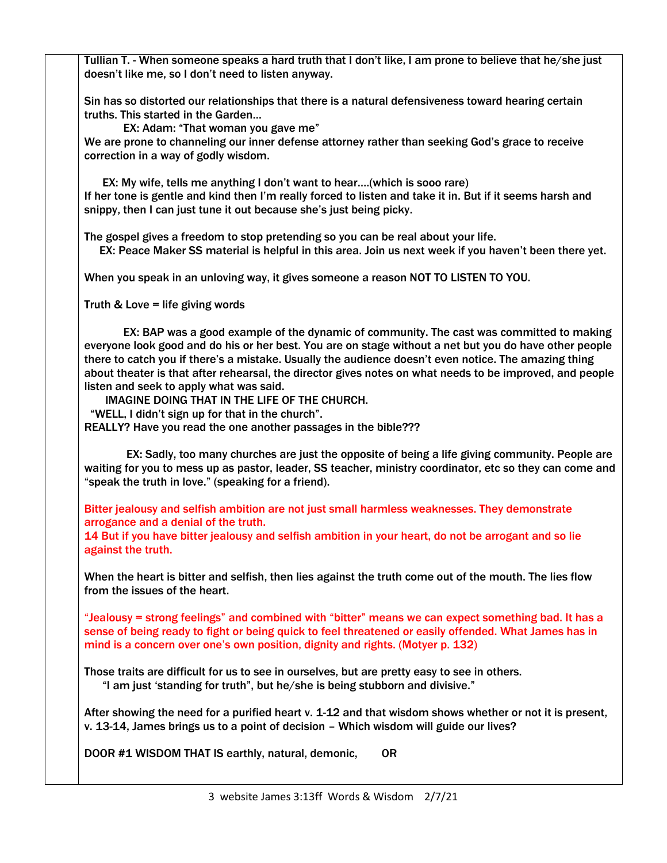Tullian T. - When someone speaks a hard truth that I don't like, I am prone to believe that he/she just doesn't like me, so I don't need to listen anyway.

Sin has so distorted our relationships that there is a natural defensiveness toward hearing certain truths. This started in the Garden…

 EX: Adam: "That woman you gave me" We are prone to channeling our inner defense attorney rather than seeking God's grace to receive correction in a way of godly wisdom.

 EX: My wife, tells me anything I don't want to hear….(which is sooo rare) If her tone is gentle and kind then I'm really forced to listen and take it in. But if it seems harsh and snippy, then I can just tune it out because she's just being picky.

The gospel gives a freedom to stop pretending so you can be real about your life. EX: Peace Maker SS material is helpful in this area. Join us next week if you haven't been there yet.

When you speak in an unloving way, it gives someone a reason NOT TO LISTEN TO YOU.

Truth & Love = life giving words

 EX: BAP was a good example of the dynamic of community. The cast was committed to making everyone look good and do his or her best. You are on stage without a net but you do have other people there to catch you if there's a mistake. Usually the audience doesn't even notice. The amazing thing about theater is that after rehearsal, the director gives notes on what needs to be improved, and people listen and seek to apply what was said.

IMAGINE DOING THAT IN THE LIFE OF THE CHURCH.

"WELL, I didn't sign up for that in the church".

REALLY? Have you read the one another passages in the bible???

 EX: Sadly, too many churches are just the opposite of being a life giving community. People are waiting for you to mess up as pastor, leader, SS teacher, ministry coordinator, etc so they can come and "speak the truth in love." (speaking for a friend).

Bitter jealousy and selfish ambition are not just small harmless weaknesses. They demonstrate arrogance and a denial of the truth.

14 But if you have bitter jealousy and selfish ambition in your heart, do not be arrogant and so lie against the truth.

When the heart is bitter and selfish, then lies against the truth come out of the mouth. The lies flow from the issues of the heart.

"Jealousy = strong feelings" and combined with "bitter" means we can expect something bad. It has a sense of being ready to fight or being quick to feel threatened or easily offended. What James has in mind is a concern over one's own position, dignity and rights. (Motyer p. 132)

Those traits are difficult for us to see in ourselves, but are pretty easy to see in others. "I am just 'standing for truth", but he/she is being stubborn and divisive."

After showing the need for a purified heart v. 1-12 and that wisdom shows whether or not it is present, v. 13-14, James brings us to a point of decision – Which wisdom will guide our lives?

DOOR #1 WISDOM THAT IS earthly, natural, demonic, OR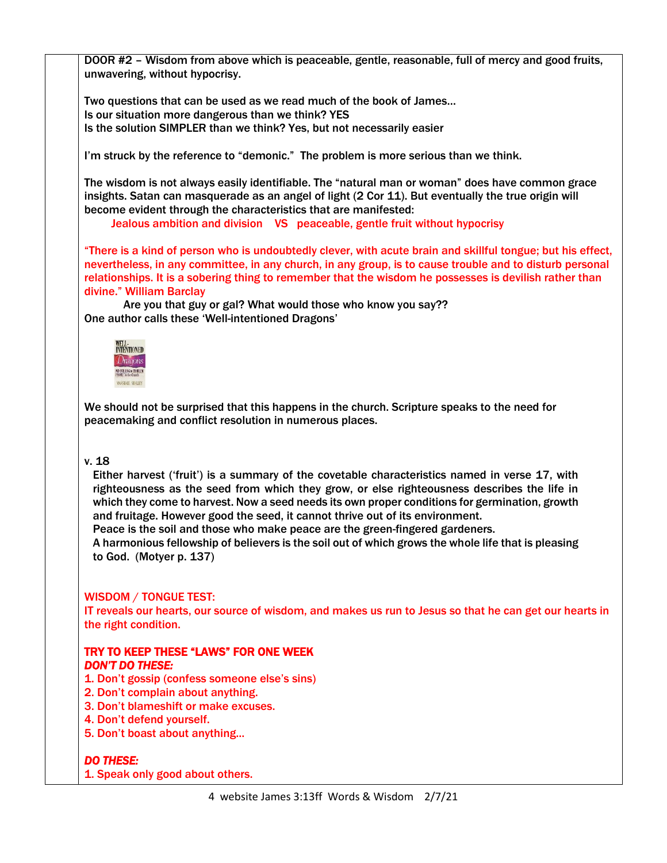DOOR #2 – Wisdom from above which is peaceable, gentle, reasonable, full of mercy and good fruits, unwavering, without hypocrisy.

Two questions that can be used as we read much of the book of James… Is our situation more dangerous than we think? YES Is the solution SIMPLER than we think? Yes, but not necessarily easier

I'm struck by the reference to "demonic." The problem is more serious than we think.

The wisdom is not always easily identifiable. The "natural man or woman" does have common grace insights. Satan can masquerade as an angel of light (2 Cor 11). But eventually the true origin will become evident through the characteristics that are manifested:

Jealous ambition and division VS peaceable, gentle fruit without hypocrisy

"There is a kind of person who is undoubtedly clever, with acute brain and skillful tongue; but his effect, nevertheless, in any committee, in any church, in any group, is to cause trouble and to disturb personal relationships. It is a sobering thing to remember that the wisdom he possesses is devilish rather than divine." William Barclay

 Are you that guy or gal? What would those who know you say?? One author calls these 'Well-intentioned Dragons'

| <b>TENTIONED</b>    |
|---------------------|
| racions             |
| <b>SYLLING</b><br>m |
| MARSHALL SHE        |

We should not be surprised that this happens in the church. Scripture speaks to the need for peacemaking and conflict resolution in numerous places.

## v. 18

Either harvest ('fruit') is a summary of the covetable characteristics named in verse 17, with righteousness as the seed from which they grow, or else righteousness describes the life in which they come to harvest. Now a seed needs its own proper conditions for germination, growth and fruitage. However good the seed, it cannot thrive out of its environment.

Peace is the soil and those who make peace are the green-fingered gardeners.

A harmonious fellowship of believers is the soil out of which grows the whole life that is pleasing to God. (Motyer p. 137)

## WISDOM / TONGUE TEST:

IT reveals our hearts, our source of wisdom, and makes us run to Jesus so that he can get our hearts in the right condition.

## TRY TO KEEP THESE "LAWS" FOR ONE WEEK *DON'T DO THESE:*

- 1. Don't gossip (confess someone else's sins)
- 2. Don't complain about anything.
- 3. Don't blameshift or make excuses.
- 4. Don't defend yourself.
- 5. Don't boast about anything...

## *DO THESE:*

1. Speak only good about others.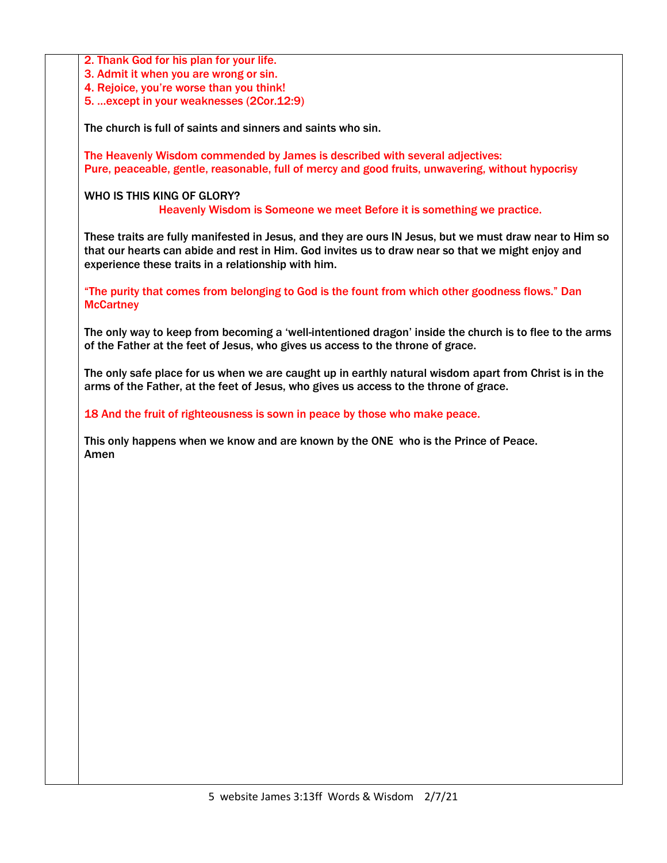2. Thank God for his plan for your life.

3. Admit it when you are wrong or sin.

4. Rejoice, you're worse than you think!

5. …except in your weaknesses (2Cor.12:9)

The church is full of saints and sinners and saints who sin.

The Heavenly Wisdom commended by James is described with several adjectives: Pure, peaceable, gentle, reasonable, full of mercy and good fruits, unwavering, without hypocrisy

WHO IS THIS KING OF GLORY?

Heavenly Wisdom is Someone we meet Before it is something we practice.

These traits are fully manifested in Jesus, and they are ours IN Jesus, but we must draw near to Him so that our hearts can abide and rest in Him. God invites us to draw near so that we might enjoy and experience these traits in a relationship with him.

"The purity that comes from belonging to God is the fount from which other goodness flows." Dan **McCartney** 

The only way to keep from becoming a 'well-intentioned dragon' inside the church is to flee to the arms of the Father at the feet of Jesus, who gives us access to the throne of grace.

The only safe place for us when we are caught up in earthly natural wisdom apart from Christ is in the arms of the Father, at the feet of Jesus, who gives us access to the throne of grace.

18 And the fruit of righteousness is sown in peace by those who make peace.

This only happens when we know and are known by the ONE who is the Prince of Peace. Amen